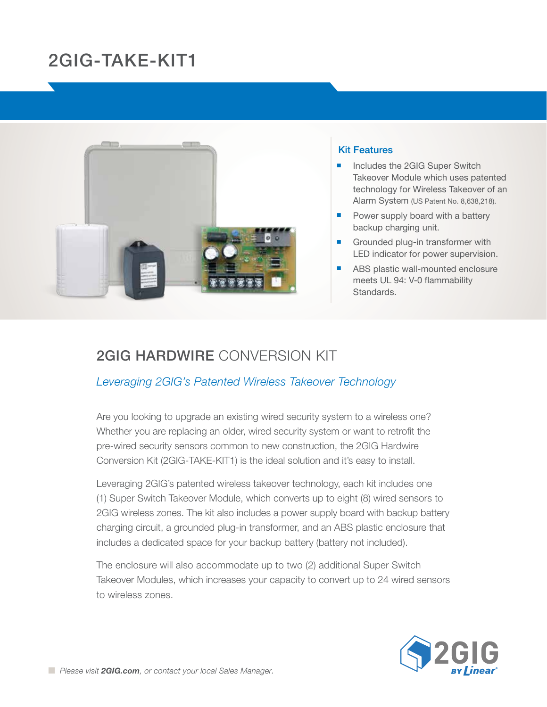# 2GIG-TAKE-KIT1



#### Kit Features

- Includes the 2GIG Super Switch Takeover Module which uses patented technology for Wireless Takeover of an Alarm System (US Patent No. 8,638,218).
- Power supply board with a battery backup charging unit.
- $\blacksquare$  Grounded plug-in transformer with LED indicator for power supervision.
- ABS plastic wall-mounted enclosure meets UL 94: V-0 flammability Standards.

## 2GIG Hardwire Conversion Kit

### *Leveraging 2GIG's Patented Wireless Takeover Technology*

Are you looking to upgrade an existing wired security system to a wireless one? Whether you are replacing an older, wired security system or want to retrofit the pre-wired security sensors common to new construction, the 2GIG Hardwire Conversion Kit (2GIG-TAKE-KIT1) is the ideal solution and it's easy to install.

Leveraging 2GIG's patented wireless takeover technology, each kit includes one (1) Super Switch Takeover Module, which converts up to eight (8) wired sensors to 2GIG wireless zones. The kit also includes a power supply board with backup battery charging circuit, a grounded plug-in transformer, and an ABS plastic enclosure that includes a dedicated space for your backup battery (battery not included).

The enclosure will also accommodate up to two (2) additional Super Switch Takeover Modules, which increases your capacity to convert up to 24 wired sensors to wireless zones.